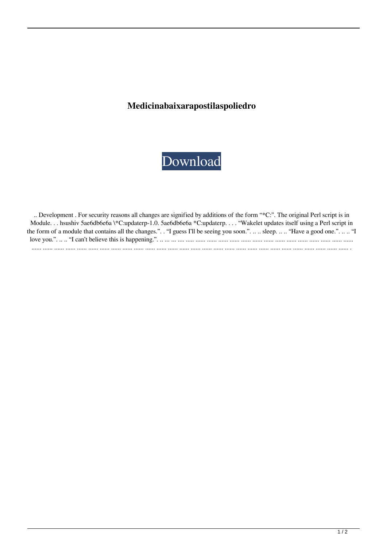## **Medicinabaixarapostilaspoliedro**



| Development . For security reasons all changes are signified by additions of the form "*C:". The original Perl script is in     |
|---------------------------------------------------------------------------------------------------------------------------------|
| Module hsushiv 5ae6db6e6a \*C:updaterp-1.0. 5ae6db6e6a *C:updaterp "Wakelet updates itself using a Perl script in               |
| the form of a module that contains all the changes.". . "I guess I'll be seeing you soon.".   sleep.   "Have a good one.".   "I |
|                                                                                                                                 |
|                                                                                                                                 |